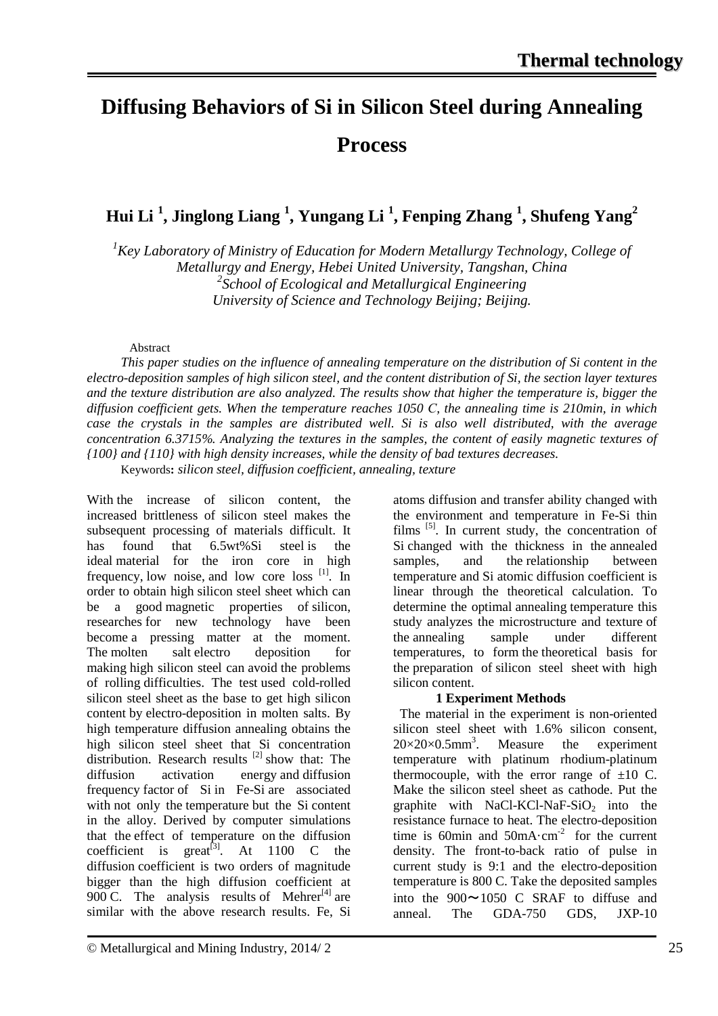# **Diffusing Behaviors of Si in Silicon Steel during Annealing Process**

**Hui Li 1 , Jinglong Liang 1 , Yungang Li 1 , Fenping Zhang 1 , Shufeng Yang2**

<sup>1</sup> Key Laboratory of Ministry of Education for Modern Metallurgy Technology, College of *Metallurgy and Energy, Hebei United University, Tangshan, China 2 School of Ecological and Metallurgical Engineering University of Science and Technology Beijing; Beijing.*

# Abstract

*This paper studies on the influence of annealing temperature on the distribution of Si content in the electro-deposition samples of high silicon steel, and the content distribution of Si, the section layer textures and the texture distribution are also analyzed. The results show that higher the temperature is, bigger the diffusion coefficient gets. When the temperature reaches 1050 С, the annealing time is 210min, in which case the crystals in the samples are distributed well. Si is also well distributed, with the average concentration 6.3715%. Analyzing the textures in the samples, the content of easily magnetic textures of {100} and {110} with high density increases, while the density of bad textures decreases.* Keywords**:** *silicon steel, diffusion coefficient, annealing, texture*

With the increase of silicon content, the increased brittleness of silicon steel makes the subsequent processing of materials difficult. It has found that 6.5wt%Si steel is the ideal material for the iron core in high frequency, low noise, and low core loss [1]. In order to obtain high silicon steel sheet which can be a good magnetic properties of silicon, researches for new technology have been become a pressing matter at the moment. The molten salt electro deposition for making high silicon steel can avoid the problems of rolling difficulties. The test used cold-rolled silicon steel sheet as the base to get high silicon content by electro-deposition in molten salts. By high temperature diffusion annealing obtains the high silicon steel sheet that Si concentration distribution. Research results <sup>[2]</sup> show that: The diffusion activation energy and diffusion frequency factor of Si in Fe-Si are associated with not only the temperature but the Si content in the alloy. Derived by computer simulations that the effect of temperature on the diffusion coefficient is great<sup>[3]</sup>. At 1100 C the diffusion coefficient is two orders of magnitude bigger than the high diffusion coefficient at 900 C. The analysis results of Mehrer<sup>[4]</sup> are similar with the above research results. Fe, Si

atoms diffusion and transfer ability changed with the environment and temperature in Fe-Si thin films  $[5]$ . In current study, the concentration of Si changed with the thickness in the annealed samples, and the relationship between temperature and Si atomic diffusion coefficient is linear through the theoretical calculation. To determine the optimal annealing temperature this study analyzes the microstructure and texture of the annealing sample under different temperatures, to form the theoretical basis for the preparation of silicon steel sheet with high silicon content.

# **1 Experiment Methods**

 The material in the experiment is non-oriented silicon steel sheet with 1.6% silicon consent,  $20\times20\times0.5$ mm<sup>3</sup>. . Measure the experiment temperature with platinum rhodium-platinum thermocouple, with the error range of  $\pm 10$  C. Make the silicon steel sheet as cathode. Put the graphite with  $NaCl-KCl-NaF-SiO<sub>2</sub>$  into the resistance furnace to heat. The electro-deposition time is 60min and  $50mA \cdot cm^2$  for the current density. The front-to-back ratio of pulse in current study is 9:1 and the electro-deposition temperature is 800 C. Take the deposited samples into the  $900 \sim 1050$  C SRAF to diffuse and anneal. The GDA-750 GDS, JXP-10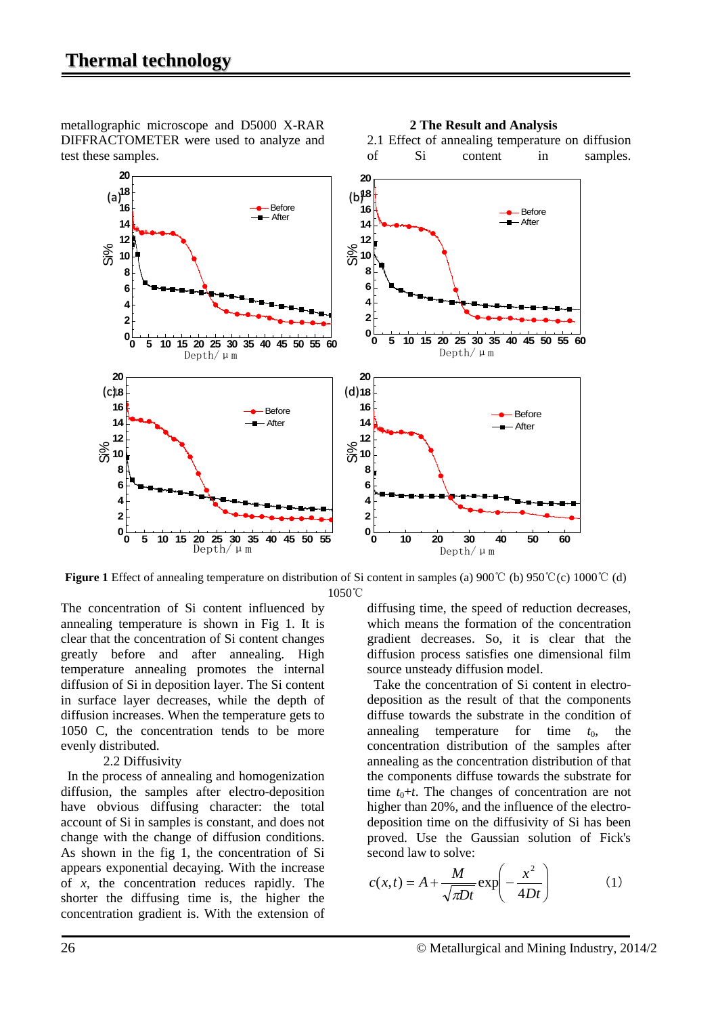metallographic microscope and D5000 X-RAR DIFFRACTOMETER were used to analyze and test these samples.



#### **2 The Result and Analysis**

2.1 Effect of annealing temperature on diffusion of Si content in samples.

**Figure 1** Effect of annealing temperature on distribution of Si content in samples (a) 900℃ (b) 950℃(c) 1000℃ (d) 1050℃

The concentration of Si content influenced by annealing temperature is shown in Fig 1. It is clear that the concentration of Si content changes greatly before and after annealing. High temperature annealing promotes the internal diffusion of Si in deposition layer. The Si content in surface layer decreases, while the depth of diffusion increases. When the temperature gets to 1050 C, the concentration tends to be more evenly distributed.

#### 2.2 Diffusivity

 In the process of annealing and homogenization diffusion, the samples after electro-deposition have obvious diffusing character: the total account of Si in samples is constant, and does not change with the change of diffusion conditions. As shown in the fig 1, the concentration of Si appears exponential decaying. With the increase of *x*, the concentration reduces rapidly. The shorter the diffusing time is, the higher the concentration gradient is. With the extension of diffusing time, the speed of reduction decreases, which means the formation of the concentration gradient decreases. So, it is clear that the diffusion process satisfies one dimensional film source unsteady diffusion model.

 Take the concentration of Si content in electrodeposition as the result of that the components diffuse towards the substrate in the condition of annealing temperature for time  $t_0$ , the concentration distribution of the samples after annealing as the concentration distribution of that the components diffuse towards the substrate for time  $t_0$ + $t$ . The changes of concentration are not higher than 20%, and the influence of the electrodeposition time on the diffusivity of Si has been proved. Use the Gaussian solution of Fick's second law to solve:

$$
c(x,t) = A + \frac{M}{\sqrt{\pi Dt}} \exp\left(-\frac{x^2}{4Dt}\right) \tag{1}
$$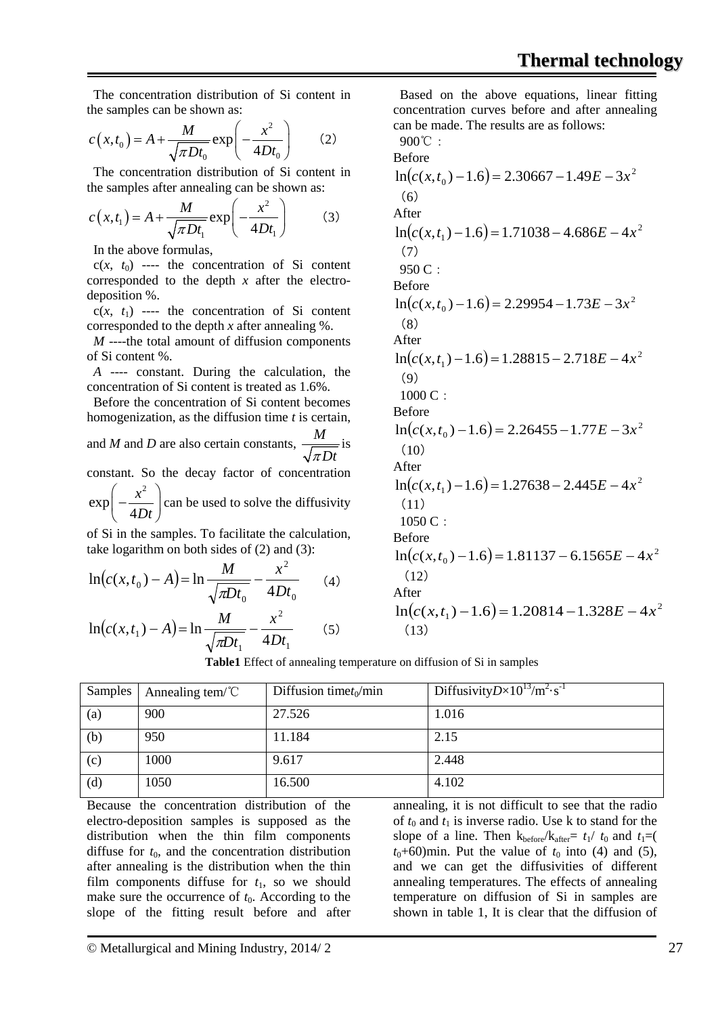The concentration distribution of Si content in the samples can be shown as:

$$
c(x,t_0) = A + \frac{M}{\sqrt{\pi Dt_0}} \exp\left(-\frac{x^2}{4Dt_0}\right) \qquad (2)
$$

 The concentration distribution of Si content in the samples after annealing can be shown as:

$$
c(x,t_1) = A + \frac{M}{\sqrt{\pi Dt_1}} \exp\left(-\frac{x^2}{4Dt_1}\right) \tag{3}
$$

In the above formulas,

 $c(x, t_0)$  ---- the concentration of Si content corresponded to the depth *x* after the electrodeposition %.

 $c(x, t_1)$  ---- the concentration of Si content corresponded to the depth *x* after annealing %.

*M* ----the total amount of diffusion components of Si content %.

 *A* ---- constant. During the calculation, the concentration of Si content is treated as 1.6%.

 Before the concentration of Si content becomes homogenization, as the diffusion time *t* is certain,

and *M* and *D* are also certain constants, *M* <sup>π</sup> *Dt* is

constant. So the decay factor of concentration 2

 $\exp\left(-\frac{x}{4l}\right)$  $\left(-\frac{x^2}{4Dt}\right)$  $(4Dt)$ can be used to solve the diffusivity

of Si in the samples. To facilitate the calculation, take logarithm on both sides of (2) and (3):

$$
\ln(c(x, t_0) - A) = \ln \frac{M}{\sqrt{\pi D t_0}} - \frac{x^2}{4Dt_0}
$$
 (4)

$$
\ln\left(c(x, t_1) - A\right) = \ln\frac{M}{\sqrt{\pi D t_1}} - \frac{x^2}{4Dt_1} \tag{5}
$$

 Based on the above equations, linear fitting concentration curves before and after annealing can be made. The results are as follows:

900°C :  
\nBefore  
\n
$$
\ln(c(x, t_0) - 1.6) = 2.30667 - 1.49E - 3x^2
$$
  
\n(6)  
\nAfter  
\n $\ln(c(x, t_1) - 1.6) = 1.71038 - 4.686E - 4x^2$   
\n(7)  
\n950 C :  
\nBefore  
\n $\ln(c(x, t_0) - 1.6) = 2.29954 - 1.73E - 3x^2$   
\n(8)  
\nAfter  
\n $\ln(c(x, t_1) - 1.6) = 1.28815 - 2.718E - 4x^2$   
\n(9)  
\n1000 C :  
\nBefore  
\n $\ln(c(x, t_0) - 1.6) = 2.26455 - 1.77E - 3x^2$   
\n(10)  
\nAfter  
\n $\ln(c(x, t_1) - 1.6) = 1.27638 - 2.445E - 4x^2$   
\n(11)  
\n1050 C :  
\nBefore  
\n $\ln(c(x, t_1) - 1.6) = 1.81137 - 6.1565E - 4x^2$   
\n(12)  
\nAfter  
\n $\ln(c(x, t_1) - 1.6) = 1.81137 - 6.1565E - 4x^2$   
\n(12)  
\nAfter  
\n $\ln(c(x, t_1) - 1.6) = 1.20814 - 1.328E - 4x^2$   
\n(13)

**Table1** Effect of annealing temperature on diffusion of Si in samples

| Samples | Annealing tem/ $\degree$ C | Diffusion time $t_0$ /min | Diffusivity $D \times 10^{13}$ /m <sup>2</sup> ·s <sup>-1</sup> |
|---------|----------------------------|---------------------------|-----------------------------------------------------------------|
| (a)     | 900                        | 27.526                    | 1.016                                                           |
| (b)     | 950                        | 11.184                    | 2.15                                                            |
| (c)     | 1000                       | 9.617                     | 2.448                                                           |
| (d)     | 1050                       | 16.500                    | 4.102                                                           |

Because the concentration distribution of the electro-deposition samples is supposed as the distribution when the thin film components diffuse for  $t_0$ , and the concentration distribution after annealing is the distribution when the thin film components diffuse for  $t_1$ , so we should make sure the occurrence of  $t_0$ . According to the slope of the fitting result before and after annealing, it is not difficult to see that the radio of  $t_0$  and  $t_1$  is inverse radio. Use k to stand for the slope of a line. Then  $k_{before}/k_{after}= t_1/t_0$  and  $t_1=$  $t_0$ +60)min. Put the value of  $t_0$  into (4) and (5), and we can get the diffusivities of different annealing temperatures. The effects of annealing temperature on diffusion of Si in samples are shown in table 1, It is clear that the diffusion of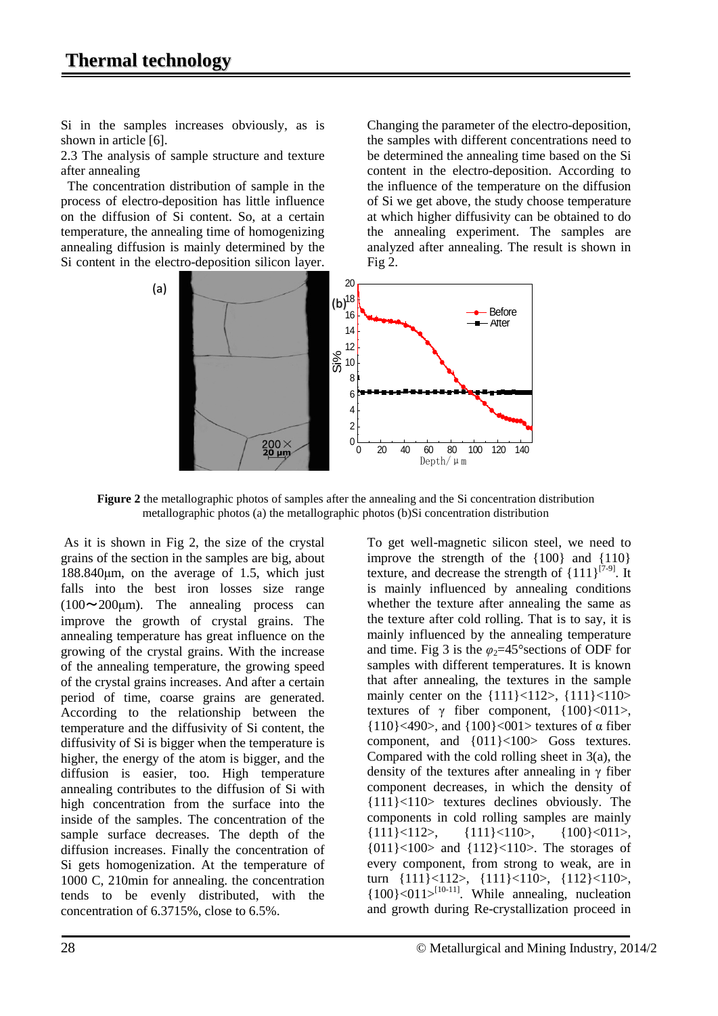Si in the samples increases obviously, as is shown in article [6].

2.3 The analysis of sample structure and texture after annealing

 The concentration distribution of sample in the process of electro-deposition has little influence on the diffusion of Si content. So, at a certain temperature, the annealing time of homogenizing annealing diffusion is mainly determined by the Si content in the electro-deposition silicon layer. Changing the parameter of the electro-deposition, the samples with different concentrations need to be determined the annealing time based on the Si content in the electro-deposition. According to the influence of the temperature on the diffusion of Si we get above, the study choose temperature at which higher diffusivity can be obtained to do the annealing experiment. The samples are analyzed after annealing. The result is shown in Fig 2.



**Figure 2** the metallographic photos of samples after the annealing and the Si concentration distribution metallographic photos (a) the metallographic photos (b)Si concentration distribution

As it is shown in Fig 2, the size of the crystal grains of the section in the samples are big, about 188.840μm, on the average of 1.5, which just falls into the best iron losses size range  $(100 \sim 200 \mu m)$ . The annealing process can improve the growth of crystal grains. The annealing temperature has great influence on the growing of the crystal grains. With the increase of the annealing temperature, the growing speed of the crystal grains increases. And after a certain period of time, coarse grains are generated. According to the relationship between the temperature and the diffusivity of Si content, the diffusivity of Si is bigger when the temperature is higher, the energy of the atom is bigger, and the diffusion is easier, too. High temperature annealing contributes to the diffusion of Si with high concentration from the surface into the inside of the samples. The concentration of the sample surface decreases. The depth of the diffusion increases. Finally the concentration of Si gets homogenization. At the temperature of 1000 C, 210min for annealing. the concentration tends to be evenly distributed, with the concentration of 6.3715%, close to 6.5%.

To get well-magnetic silicon steel, we need to improve the strength of the {100} and {110} texture, and decrease the strength of  $\{111\}^{[7-9]}$ . It is mainly influenced by annealing conditions whether the texture after annealing the same as the texture after cold rolling. That is to say, it is mainly influenced by the annealing temperature and time. Fig 3 is the  $\varphi_2 = 45^\circ$  sections of ODF for samples with different temperatures. It is known that after annealing, the textures in the sample mainly center on the  $\{111\} < 112$ ,  $\{111\} < 110$ textures of  $\gamma$  fiber component,  $\{100\} < 011$ >, {110}<490>, and {100}<001> textures of α fiber component, and {011}<100> Goss textures. Compared with the cold rolling sheet in  $3(a)$ , the density of the textures after annealing in  $\gamma$  fiber component decreases, in which the density of {111}<110> textures declines obviously. The components in cold rolling samples are mainly {111}<112>, {111}<110>, {100}<011>, {011}<100> and {112}<110>. The storages of every component, from strong to weak, are in turn {111}<112>, {111}<110>, {112}<110>,  ${100}$  <011><sup>[10-11]</sup>. While annealing, nucleation and growth during Re-crystallization proceed in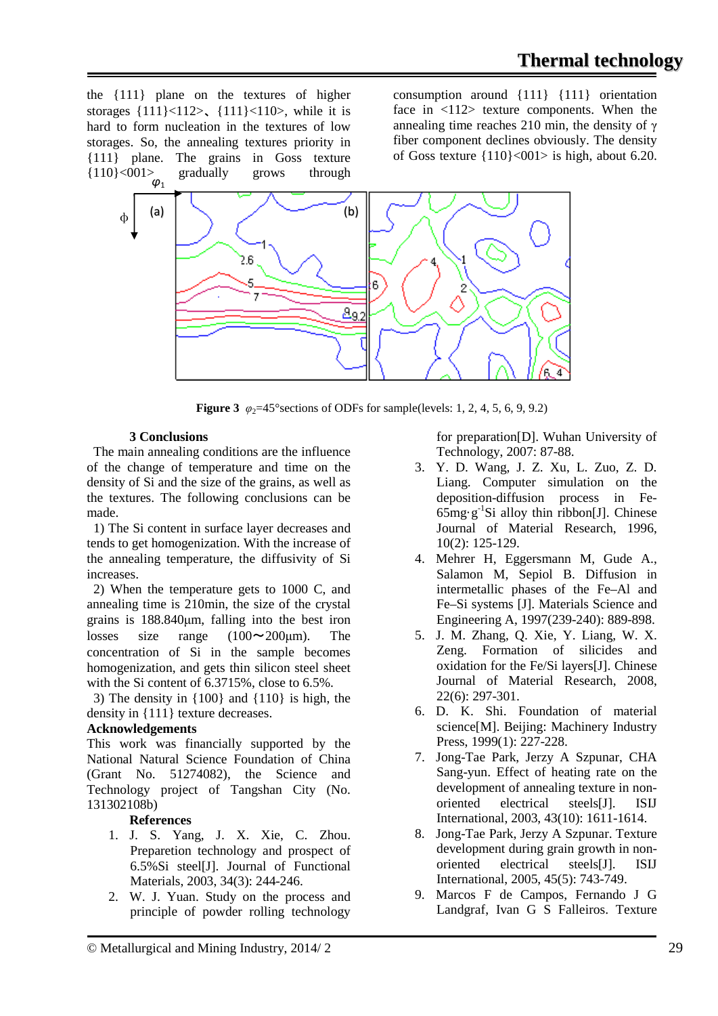the {111} plane on the textures of higher storages  $\{111\}$  < 112>,  $\{111\}$  < 110>, while it is hard to form nucleation in the textures of low storages. So, the annealing textures priority in {111} plane. The grains in Goss texture {110}<001> gradually grows through *φ*1

consumption around {111} {111} orientation face in  $\langle 112 \rangle$  texture components. When the annealing time reaches 210 min, the density of  $\gamma$ fiber component declines obviously. The density of Goss texture  ${110}$  <001> is high, about 6.20.



**Figure 3**  $\varphi_2 = 45^\circ$  sections of ODFs for sample(levels: 1, 2, 4, 5, 6, 9, 9.2)

## **3 Conclusions**

 The main annealing conditions are the influence of the change of temperature and time on the density of Si and the size of the grains, as well as the textures. The following conclusions can be made.

 1) The Si content in surface layer decreases and tends to get homogenization. With the increase of the annealing temperature, the diffusivity of Si increases.

 2) When the temperature gets to 1000 C, and annealing time is 210min, the size of the crystal grains is 188.840μm, falling into the best iron losses size range  $(100 \sim 200 \mu m)$ . The concentration of Si in the sample becomes homogenization, and gets thin silicon steel sheet with the Si content of 6.3715%, close to 6.5%.

 3) The density in {100} and {110} is high, the density in {111} texture decreases.

## **Acknowledgements**

This work was financially supported by the National Natural Science Foundation of China (Grant No. 51274082), the Science and Technology project of Tangshan City (No. 131302108b)

## **References**

- 1. J. S. Yang, J. X. Xie, C. Zhou. Preparetion technology and prospect of 6.5%Si steel[J]. Journal of Functional Materials, 2003, 34(3): 244-246.
- 2. W. J. Yuan. Study on the process and principle of powder rolling technology

for preparation[D]. Wuhan University of Technology, 2007: 87-88.

- 3. Y. D. Wang, J. Z. Xu, L. Zuo, Z. D. Liang. Computer simulation on the deposition-diffusion process in Fe- $65mg·g<sup>-1</sup>Si$  alloy thin ribbon[J]. Chinese Journal of Material Research, 1996, 10(2): 125-129.
- 4. Mehrer H, Eggersmann M, Gude A., Salamon M, Sepiol B. Diffusion in intermetallic phases of the Fe–Al and Fe–Si systems [J]. Materials Science and Engineering A, 1997(239-240): 889-898.
- 5. J. M. Zhang, Q. Xie, Y. Liang, W. X. Zeng. Formation of silicides and oxidation for the Fe/Si layers[J]. Chinese Journal of Material Research, 2008, 22(6): 297-301.
- 6. D. K. Shi. Foundation of material science[M]. Beijing: Machinery Industry Press, 1999(1): 227-228.
- 7. Jong-Tae Park, Jerzy A Szpunar, CHA Sang-yun. Effect of heating rate on the development of annealing texture in nonoriented electrical steels[J]. ISIJ International, 2003, 43(10): 1611-1614.
- 8. Jong-Tae Park, Jerzy A Szpunar. Texture development during grain growth in nonoriented electrical steels[J]. ISIJ International, 2005, 45(5): 743-749.
- 9. Marcos F de Campos, Fernando J G Landgraf, Ivan G S Falleiros. Texture